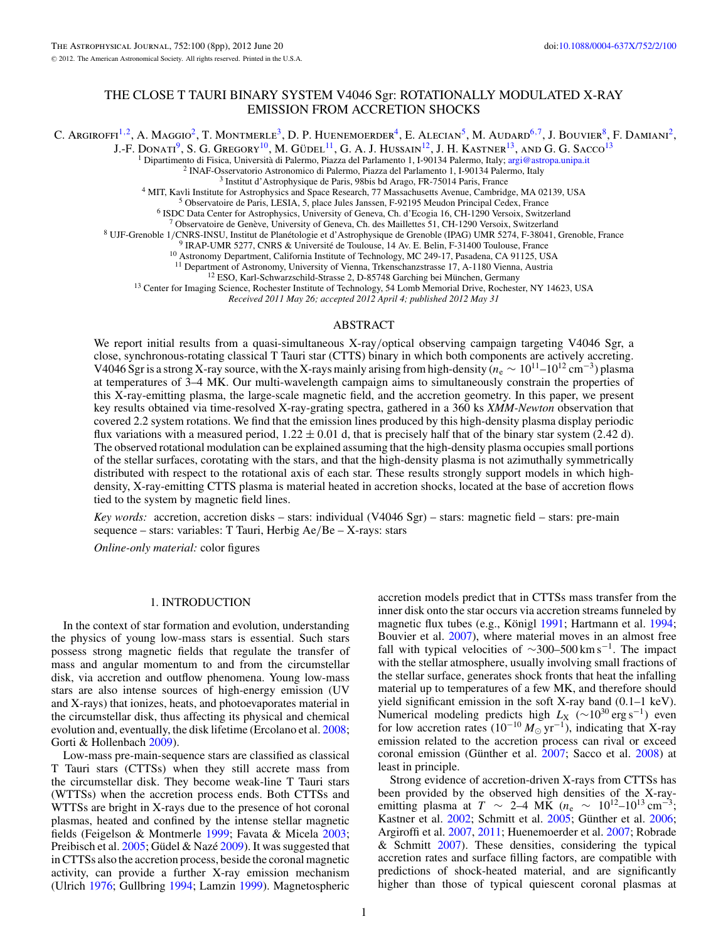# THE CLOSE T TAURI BINARY SYSTEM V4046 Sgr: ROTATIONALLY MODULATED X-RAY EMISSION FROM ACCRETION SHOCKS

C. Argiroffi<sup>1,2</sup>, A. Maggio<sup>2</sup>, T. Montmerle<sup>3</sup>, D. P. Huenemoerder<sup>4</sup>, E. Alecian<sup>5</sup>, M. Audard<sup>6,7</sup>, J. Bouvier<sup>8</sup>, F. Damiani<sup>2</sup>,

J.-F. Donati<sup>9</sup>, S. G. Gregory<sup>10</sup>, M. Güdel<sup>11</sup>, G. A. J. Hussain<sup>12</sup>, J. H. Kastner<sup>13</sup>, and G. G. Sacco<sup>13</sup>

<sup>1</sup> Dipartimento di Fisica, Università di Palermo, Piazza del Parlamento 1, I-90134 Palermo, Italy; argi $\frac{1}{2}$  astropa.unipa.it<br><sup>2</sup> INAF-Osservatorio Astronomico di Palermo, Piazza del Parlamento 1, I-90134 Palermo, It

<sup>7</sup> Observatoire de Genève, University of Geneva, Ch. des Maillettes 51, CH-1290 Versoix, Switzerland<br><sup>8</sup> UJF-Grenoble 1/CNRS-INSU, Institut de Planétologie et d'Astrophysique de Grenoble (IPAG) UMR 5274, F-38041, Grenobl

<sup>13</sup> Center for Imaging Science, Rochester Institute of Technology, 54 Lomb Memorial Drive, Rochester, NY 14623, USA

*Received 2011 May 26; accepted 2012 April 4; published 2012 May 31*

## ABSTRACT

We report initial results from a quasi-simultaneous X-ray*/*optical observing campaign targeting V4046 Sgr, a close, synchronous-rotating classical T Tauri star (CTTS) binary in which both components are actively accreting. V4046 Sgr is a strong X-ray source, with the X-rays mainly arising from high-density (*n*<sup>e</sup> <sup>∼</sup> 1011–1012 cm−3) plasma at temperatures of 3–4 MK. Our multi-wavelength campaign aims to simultaneously constrain the properties of this X-ray-emitting plasma, the large-scale magnetic field, and the accretion geometry. In this paper, we present key results obtained via time-resolved X-ray-grating spectra, gathered in a 360 ks *XMM-Newton* observation that covered 2.2 system rotations. We find that the emission lines produced by this high-density plasma display periodic flux variations with a measured period,  $1.22 \pm 0.01$  d, that is precisely half that of the binary star system (2.42 d). The observed rotational modulation can be explained assuming that the high-density plasma occupies small portions of the stellar surfaces, corotating with the stars, and that the high-density plasma is not azimuthally symmetrically distributed with respect to the rotational axis of each star. These results strongly support models in which highdensity, X-ray-emitting CTTS plasma is material heated in accretion shocks, located at the base of accretion flows tied to the system by magnetic field lines.

*Key words:* accretion, accretion disks – stars: individual (V4046 Sgr) – stars: magnetic field – stars: pre-main sequence – stars: variables: T Tauri, Herbig Ae*/*Be – X-rays: stars

*Online-only material:* color figures

### 1. INTRODUCTION

In the context of star formation and evolution, understanding the physics of young low-mass stars is essential. Such stars possess strong magnetic fields that regulate the transfer of mass and angular momentum to and from the circumstellar disk, via accretion and outflow phenomena. Young low-mass stars are also intense sources of high-energy emission (UV and X-rays) that ionizes, heats, and photoevaporates material in the circumstellar disk, thus affecting its physical and chemical evolution and, eventually, the disk lifetime (Ercolano et al. [2008;](#page-6-0) Gorti & Hollenbach [2009\)](#page-6-0).

Low-mass pre-main-sequence stars are classified as classical T Tauri stars (CTTSs) when they still accrete mass from the circumstellar disk. They become weak-line T Tauri stars (WTTSs) when the accretion process ends. Both CTTSs and WTTSs are bright in X-rays due to the presence of hot coronal plasmas, heated and confined by the intense stellar magnetic fields (Feigelson & Montmerle [1999;](#page-6-0) Favata & Micela [2003;](#page-6-0) Preibisch et al.  $2005$ ; Güdel & Nazé  $2009$ ). It was suggested that in CTTSs also the accretion process, beside the coronal magnetic activity, can provide a further X-ray emission mechanism (Ulrich [1976;](#page-7-0) Gullbring [1994;](#page-6-0) Lamzin [1999\)](#page-7-0). Magnetospheric

accretion models predict that in CTTSs mass transfer from the inner disk onto the star occurs via accretion streams funneled by magnetic flux tubes (e.g., Königl [1991;](#page-7-0) Hartmann et al. [1994;](#page-7-0) Bouvier et al. [2007\)](#page-6-0), where material moves in an almost free fall with typical velocities of  $\sim$ 300–500 km s<sup>-1</sup>. The impact with the stellar atmosphere, usually involving small fractions of the stellar surface, generates shock fronts that heat the infalling material up to temperatures of a few MK, and therefore should yield significant emission in the soft X-ray band (0*.*1–1 keV). Numerical modeling predicts high *L*<sub>X</sub> (∼10<sup>30</sup> erg s<sup>-1</sup>) even for low accretion rates ( $10^{-10} M_{\odot} \text{ yr}^{-1}$ ), indicating that X-ray emission related to the accretion process can rival or exceed coronal emission (Günther et al. [2007;](#page-7-0) Sacco et al. [2008\)](#page-7-0) at least in principle.

Strong evidence of accretion-driven X-rays from CTTSs has been provided by the observed high densities of the X-rayemitting plasma at *T* ~ 2–4 MK ( $n_e$  ~ 10<sup>12</sup>–10<sup>13</sup> cm<sup>-3</sup>; Kastner et al.  $2002$ ; Schmitt et al.  $2005$ ; Günther et al.  $2006$ ; Argiroffi et al. [2007,](#page-6-0) [2011;](#page-6-0) Huenemoerder et al. [2007;](#page-7-0) Robrade & Schmitt  $2007$ ). These densities, considering the typical accretion rates and surface filling factors, are compatible with predictions of shock-heated material, and are significantly higher than those of typical quiescent coronal plasmas at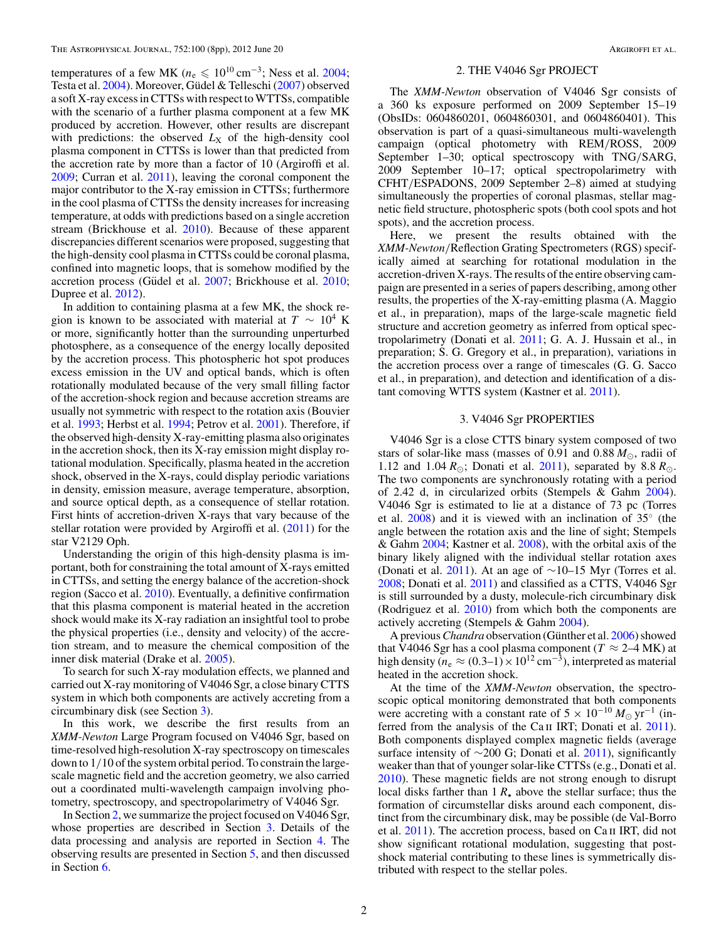temperatures of a few MK ( $n_e \leqslant 10^{10} \text{ cm}^{-3}$ ; Ness et al. [2004;](#page-7-0) Testa et al. [2004\)](#page-7-0). Moreover, Güdel & Telleschi ([2007\)](#page-6-0) observed a soft X-ray excess in CTTSs with respect to WTTSs, compatible with the scenario of a further plasma component at a few MK produced by accretion. However, other results are discrepant with predictions: the observed  $L_X$  of the high-density cool plasma component in CTTSs is lower than that predicted from the accretion rate by more than a factor of 10 (Argiroffi et al. [2009;](#page-6-0) Curran et al. [2011\)](#page-6-0), leaving the coronal component the major contributor to the X-ray emission in CTTSs; furthermore in the cool plasma of CTTSs the density increases for increasing temperature, at odds with predictions based on a single accretion stream (Brickhouse et al. [2010\)](#page-6-0). Because of these apparent discrepancies different scenarios were proposed, suggesting that the high-density cool plasma in CTTSs could be coronal plasma, confined into magnetic loops, that is somehow modified by the accretion process (Güdel et al. [2007;](#page-6-0) Brickhouse et al. [2010;](#page-6-0) Dupree et al. [2012\)](#page-6-0).

In addition to containing plasma at a few MK, the shock region is known to be associated with material at  $T \sim 10^4$  K or more, significantly hotter than the surrounding unperturbed photosphere, as a consequence of the energy locally deposited by the accretion process. This photospheric hot spot produces excess emission in the UV and optical bands, which is often rotationally modulated because of the very small filling factor of the accretion-shock region and because accretion streams are usually not symmetric with respect to the rotation axis (Bouvier et al. [1993;](#page-6-0) Herbst et al. [1994;](#page-7-0) Petrov et al. [2001\)](#page-7-0). Therefore, if the observed high-density X-ray-emitting plasma also originates in the accretion shock, then its X-ray emission might display rotational modulation. Specifically, plasma heated in the accretion shock, observed in the X-rays, could display periodic variations in density, emission measure, average temperature, absorption, and source optical depth, as a consequence of stellar rotation. First hints of accretion-driven X-rays that vary because of the stellar rotation were provided by Argiroffi et al. [\(2011\)](#page-6-0) for the star V2129 Oph.

Understanding the origin of this high-density plasma is important, both for constraining the total amount of X-rays emitted in CTTSs, and setting the energy balance of the accretion-shock region (Sacco et al. [2010\)](#page-7-0). Eventually, a definitive confirmation that this plasma component is material heated in the accretion shock would make its X-ray radiation an insightful tool to probe the physical properties (i.e., density and velocity) of the accretion stream, and to measure the chemical composition of the inner disk material (Drake et al. [2005\)](#page-6-0).

To search for such X-ray modulation effects, we planned and carried out X-ray monitoring of V4046 Sgr, a close binary CTTS system in which both components are actively accreting from a circumbinary disk (see Section 3).

In this work, we describe the first results from an *XMM-Newton* Large Program focused on V4046 Sgr, based on time-resolved high-resolution X-ray spectroscopy on timescales down to 1*/*10 of the system orbital period. To constrain the largescale magnetic field and the accretion geometry, we also carried out a coordinated multi-wavelength campaign involving photometry, spectroscopy, and spectropolarimetry of V4046 Sgr.

In Section 2, we summarize the project focused on V4046 Sgr, whose properties are described in Section 3. Details of the data processing and analysis are reported in Section [4.](#page-2-0) The observing results are presented in Section [5,](#page-2-0) and then discussed in Section [6.](#page-6-0)

### 2. THE V4046 Sgr PROJECT

The *XMM-Newton* observation of V4046 Sgr consists of a 360 ks exposure performed on 2009 September 15–19 (ObsIDs: 0604860201, 0604860301, and 0604860401). This observation is part of a quasi-simultaneous multi-wavelength campaign (optical photometry with REM*/*ROSS, 2009 September 1–30; optical spectroscopy with TNG*/*SARG, 2009 September 10–17; optical spectropolarimetry with CFHT*/*ESPADONS, 2009 September 2–8) aimed at studying simultaneously the properties of coronal plasmas, stellar magnetic field structure, photospheric spots (both cool spots and hot spots), and the accretion process.

Here, we present the results obtained with the *XMM-Newton/*Reflection Grating Spectrometers (RGS) specifically aimed at searching for rotational modulation in the accretion-driven X-rays. The results of the entire observing campaign are presented in a series of papers describing, among other results, the properties of the X-ray-emitting plasma (A. Maggio et al., in preparation), maps of the large-scale magnetic field structure and accretion geometry as inferred from optical spectropolarimetry (Donati et al. [2011;](#page-6-0) G. A. J. Hussain et al., in preparation; S. G. Gregory et al., in preparation), variations in the accretion process over a range of timescales (G. G. Sacco et al., in preparation), and detection and identification of a distant comoving WTTS system (Kastner et al. [2011\)](#page-7-0).

### 3. V4046 Sgr PROPERTIES

V4046 Sgr is a close CTTS binary system composed of two stars of solar-like mass (masses of 0.91 and 0.88  $M_{\odot}$ , radii of 1.12 and 1.04  $R_{\odot}$ ; Donati et al. [2011\)](#page-6-0), separated by 8.8  $R_{\odot}$ . The two components are synchronously rotating with a period of 2.42 d, in circularized orbits (Stempels & Gahm [2004\)](#page-7-0). V4046 Sgr is estimated to lie at a distance of 73 pc (Torres et al. [2008\)](#page-7-0) and it is viewed with an inclination of 35◦ (the angle between the rotation axis and the line of sight; Stempels & Gahm [2004;](#page-7-0) Kastner et al. [2008\)](#page-7-0), with the orbital axis of the binary likely aligned with the individual stellar rotation axes (Donati et al. [2011\)](#page-6-0). At an age of  $\sim$ 10–15 Myr (Torres et al. [2008;](#page-7-0) Donati et al. [2011\)](#page-6-0) and classified as a CTTS, V4046 Sgr is still surrounded by a dusty, molecule-rich circumbinary disk (Rodriguez et al. [2010\)](#page-7-0) from which both the components are actively accreting (Stempels & Gahm [2004\)](#page-7-0).

A previous *Chandra* observation (Günther et al. [2006\)](#page-7-0) showed that V4046 Sgr has a cool plasma component ( $T \approx 2-4$  MK) at high density ( $n_e \approx (0.3-1) \times 10^{12}$  cm<sup>-3</sup>), interpreted as material heated in the accretion shock.

At the time of the *XMM-Newton* observation, the spectroscopic optical monitoring demonstrated that both components were accreting with a constant rate of 5 × 10<sup>-10</sup>  $M_{\odot}$  yr<sup>-1</sup> (inferred from the analysis of the Ca ii IRT; Donati et al. [2011\)](#page-6-0). Both components displayed complex magnetic fields (average surface intensity of  $\sim$ 200 G; Donati et al. [2011\)](#page-6-0), significantly weaker than that of younger solar-like CTTSs (e.g., Donati et al. [2010\)](#page-6-0). These magnetic fields are not strong enough to disrupt local disks farther than 1 *R-* above the stellar surface; thus the formation of circumstellar disks around each component, distinct from the circumbinary disk, may be possible (de Val-Borro et al. [2011\)](#page-6-0). The accretion process, based on Ca ii IRT, did not show significant rotational modulation, suggesting that postshock material contributing to these lines is symmetrically distributed with respect to the stellar poles.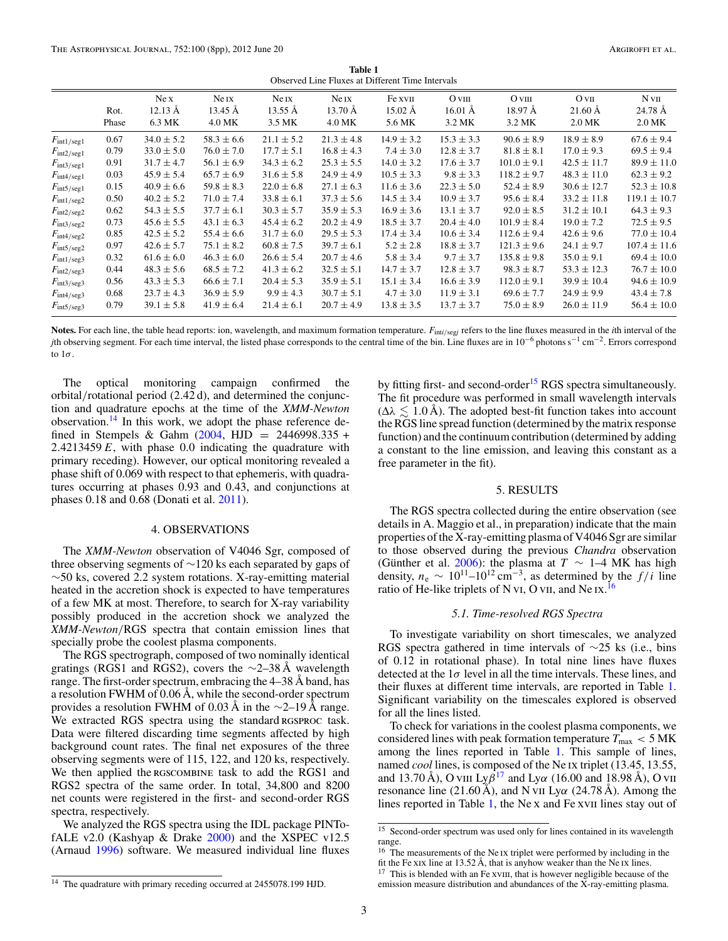**Table 1** Observed Line Fluxes at Different Time Intervals

<span id="page-2-0"></span>

|                        |       | Ne X              | Ne IX          | Ne IX          | Ne IX          | Fe xvII           | $O$ VIII          | $O$ VIII        | O <sub>VI</sub>   | $N$ VII          |
|------------------------|-------|-------------------|----------------|----------------|----------------|-------------------|-------------------|-----------------|-------------------|------------------|
|                        | Rot.  | $12.13 \text{ Å}$ | 13.45 Å        | 13.55 Å        | 13.70 Å        | $15.02 \text{ Å}$ | $16.01 \text{ Å}$ | 18.97 Å         | $21.60 \text{ Å}$ | 24.78 Å          |
|                        | Phase | 6.3 MK            | 4.0 MK         | 3.5 MK         | 4.0 MK         | 5.6 MK            | 3.2 MK            | 3.2 MK          | 2.0 MK            | 2.0 MK           |
| $F_{\text{int1/seg1}}$ | 0.67  | $34.0 \pm 5.2$    | $58.3 \pm 6.6$ | $21.1 \pm 5.2$ | $21.3 \pm 4.8$ | $14.9 \pm 3.2$    | $15.3 \pm 3.3$    | $90.6 \pm 8.9$  | $18.9 \pm 8.9$    | $67.6 \pm 9.4$   |
| $F_{\text{int2/seg1}}$ | 0.79  | $33.0 \pm 5.0$    | $76.0 \pm 7.0$ | $17.7 \pm 5.1$ | $16.8 \pm 4.3$ | $7.4 \pm 3.0$     | $12.8 \pm 3.7$    | $81.8 \pm 8.1$  | $17.0 \pm 9.3$    | $69.5 \pm 9.4$   |
| $F_{\text{int3/seg1}}$ | 0.91  | $31.7 \pm 4.7$    | $56.1 \pm 6.9$ | $34.3 \pm 6.2$ | $25.3 \pm 5.5$ | $14.0 \pm 3.2$    | $17.6 \pm 3.7$    | $101.0 \pm 9.1$ | $42.5 \pm 11.7$   | $89.9 \pm 11.0$  |
| $F_{\text{int4/seg1}}$ | 0.03  | $45.9 \pm 5.4$    | $65.7 \pm 6.9$ | $31.6 \pm 5.8$ | $24.9 \pm 4.9$ | $10.5 \pm 3.3$    | $9.8 \pm 3.3$     | $118.2 \pm 9.7$ | $48.3 \pm 11.0$   | $62.3 \pm 9.2$   |
| $F_{\text{int5/seg1}}$ | 0.15  | $40.9 \pm 6.6$    | $59.8 \pm 8.3$ | $22.0 \pm 6.8$ | $27.1 \pm 6.3$ | $11.6 \pm 3.6$    | $22.3 \pm 5.0$    | $52.4 \pm 8.9$  | $30.6 \pm 12.7$   | $52.3 \pm 10.8$  |
| $F_{\text{int1/seg2}}$ | 0.50  | $40.2 \pm 5.2$    | $71.0 \pm 7.4$ | $33.8 \pm 6.1$ | $37.3 \pm 5.6$ | $14.5 \pm 3.4$    | $10.9 \pm 3.7$    | $95.6 \pm 8.4$  | $33.2 \pm 11.8$   | $119.1 \pm 10.7$ |
| $F_{\text{int2/seg2}}$ | 0.62  | $54.3 \pm 5.5$    | $37.7 \pm 6.1$ | $30.3 \pm 5.7$ | $35.9 \pm 5.3$ | $16.9 \pm 3.6$    | $13.1 \pm 3.7$    | $92.0 \pm 8.5$  | $31.2 \pm 10.1$   | $64.3 \pm 9.3$   |
| $F_{\text{int3/seg2}}$ | 0.73  | $45.6 \pm 5.5$    | $43.1 \pm 6.3$ | $45.4 \pm 6.2$ | $20.2 \pm 4.9$ | $18.5 \pm 3.7$    | $20.4 \pm 4.0$    | $101.9 \pm 8.4$ | $19.0 \pm 7.2$    | $72.5 \pm 9.5$   |
| $F_{\text{int4/seg2}}$ | 0.85  | $42.5 \pm 5.2$    | $55.4 \pm 6.6$ | $31.7 \pm 6.0$ | $29.5 \pm 5.3$ | $17.4 \pm 3.4$    | $10.6 \pm 3.4$    | $112.6 \pm 9.4$ | $42.6 \pm 9.6$    | $77.0 \pm 10.4$  |
| $F_{\text{int5/seg2}}$ | 0.97  | $42.6 \pm 5.7$    | $75.1 \pm 8.2$ | $60.8 \pm 7.5$ | $39.7 \pm 6.1$ | $5.2 \pm 2.8$     | $18.8 \pm 3.7$    | $121.3 \pm 9.6$ | $24.1 \pm 9.7$    | $107.4 \pm 11.6$ |
| $F_{\text{int1/seg3}}$ | 0.32  | $61.6 \pm 6.0$    | $46.3 \pm 6.0$ | $26.6 \pm 5.4$ | $20.7 \pm 4.6$ | $5.8 \pm 3.4$     | $9.7 \pm 3.7$     | $135.8 \pm 9.8$ | $35.0 \pm 9.1$    | $69.4 \pm 10.0$  |
| $F_{\text{int2/seg3}}$ | 0.44  | $48.3 \pm 5.6$    | $68.5 \pm 7.2$ | $41.3 \pm 6.2$ | $32.5 \pm 5.1$ | $14.7 \pm 3.7$    | $12.8 \pm 3.7$    | $98.3 \pm 8.7$  | $53.3 \pm 12.3$   | $76.7 \pm 10.0$  |
| $F_{\text{int3/seg3}}$ | 0.56  | $43.3 \pm 5.3$    | $66.6 \pm 7.1$ | $20.4 \pm 5.3$ | $35.9 \pm 5.1$ | $15.1 \pm 3.4$    | $16.6 \pm 3.9$    | $112.0 \pm 9.1$ | $39.9 \pm 10.4$   | $94.6 \pm 10.9$  |
| $F_{\text{int4/seg3}}$ | 0.68  | $23.7 \pm 4.3$    | $36.9 \pm 5.9$ | $9.9 \pm 4.3$  | $30.7 \pm 5.1$ | $4.7 \pm 3.0$     | $11.9 \pm 3.1$    | $69.6 \pm 7.7$  | $24.9 \pm 9.9$    | $43.4 \pm 7.8$   |
| $F_{\text{int5/seg3}}$ | 0.79  | $39.1 \pm 5.8$    | $41.9 \pm 6.4$ | $21.4 \pm 6.1$ | $20.7 \pm 4.9$ | $13.8 \pm 3.5$    | $13.7 \pm 3.7$    | $75.0 \pm 8.9$  | $26.0 \pm 11.9$   | $56.4 \pm 10.0$  |
|                        |       |                   |                |                |                |                   |                   |                 |                   |                  |

Notes. For each line, the table head reports: ion, wavelength, and maximum formation temperature.  $F_{\text{int}i/seg}$  refers to the line fluxes measured in the *i*th interval of the *j*th observing segment. For each time interval, the listed phase corresponds to the central time of the bin. Line fluxes are in 10<sup>−6</sup> photons s<sup>−1</sup> cm<sup>−2</sup>. Errors correspond to 1*σ*.

The optical monitoring campaign confirmed the orbital*/*rotational period (2*.*42 d), and determined the conjunction and quadrature epochs at the time of the *XMM-Newton* observation.<sup>14</sup> In this work, we adopt the phase reference defined in Stempels & Gahm [\(2004,](#page-7-0) HJD = 2446998*.*335 + 2*.*4213459 *E*, with phase 0*.*0 indicating the quadrature with primary receding). However, our optical monitoring revealed a phase shift of 0.069 with respect to that ephemeris, with quadratures occurring at phases 0.93 and 0.43, and conjunctions at phases 0.18 and 0.68 (Donati et al. [2011\)](#page-6-0).

### 4. OBSERVATIONS

The *XMM-Newton* observation of V4046 Sgr, composed of three observing segments of ∼120 ks each separated by gaps of ∼50 ks, covered 2.2 system rotations. X-ray-emitting material heated in the accretion shock is expected to have temperatures of a few MK at most. Therefore, to search for X-ray variability possibly produced in the accretion shock we analyzed the *XMM-Newton/*RGS spectra that contain emission lines that specially probe the coolest plasma components.

The RGS spectrograph, composed of two nominally identical gratings (RGS1 and RGS2), covers the  $\sim$ 2–38 Å wavelength range. The first-order spectrum, embracing the 4–38 Å band, has a resolution FWHM of 0.06 Å, while the second-order spectrum provides a resolution FWHM of 0.03 Å in the  $\sim$ 2–19 Å range. We extracted RGS spectra using the standard RGSPROC task. Data were filtered discarding time segments affected by high background count rates. The final net exposures of the three observing segments were of 115, 122, and 120 ks, respectively. We then applied the RGSCOMBINE task to add the RGS1 and RGS2 spectra of the same order. In total, 34,800 and 8200 net counts were registered in the first- and second-order RGS spectra, respectively.

We analyzed the RGS spectra using the IDL package PINTofALE v2.0 (Kashyap & Drake [2000\)](#page-7-0) and the XSPEC v12.5 (Arnaud [1996\)](#page-6-0) software. We measured individual line fluxes by fitting first- and second-order<sup>15</sup> RGS spectra simultaneously. The fit procedure was performed in small wavelength intervals  $(\Delta \lambda \leq 1.0 \text{ Å})$ . The adopted best-fit function takes into account the RGS line spread function (determined by the matrix response function) and the continuum contribution (determined by adding a constant to the line emission, and leaving this constant as a free parameter in the fit).

## 5. RESULTS

The RGS spectra collected during the entire observation (see details in A. Maggio et al., in preparation) indicate that the main properties of the X-ray-emitting plasma of V4046 Sgr are similar to those observed during the previous *Chandra* observation (Günther et al. [2006\)](#page-7-0): the plasma at  $T \sim 1-4$  MK has high density,  $n_e \sim 10^{11} - 10^{12}$  cm<sup>-3</sup>, as determined by the *f/i* line ratio of He-like triplets of N vi, O vii, and Ne ix.<sup>16</sup>

#### *5.1. Time-resolved RGS Spectra*

To investigate variability on short timescales, we analyzed RGS spectra gathered in time intervals of ∼25 ks (i.e., bins of 0.12 in rotational phase). In total nine lines have fluxes detected at the  $1\sigma$  level in all the time intervals. These lines, and their fluxes at different time intervals, are reported in Table 1. Significant variability on the timescales explored is observed for all the lines listed.

To check for variations in the coolest plasma components, we considered lines with peak formation temperature  $T_{\text{max}} < 5 \text{ MK}$ among the lines reported in Table 1. This sample of lines, named *cool* lines, is composed of the Ne ix triplet (13.45, 13.55, and 13.70 Å), O viii Ly $\beta^{17}$  and Ly $\alpha$  (16.00 and 18.98 Å), O vii resonance line (21.60 Å), and N vii Ly*α* (24.78 Å). Among the lines reported in Table 1, the Ne x and Fe xvII lines stay out of

<sup>&</sup>lt;sup>15</sup> Second-order spectrum was used only for lines contained in its wavelength range.

<sup>&</sup>lt;sup>16</sup> The measurements of the Ne Ix triplet were performed by including in the fit the Fe xix line at 13.52 Å, that is anyhow weaker than the Ne ix lines.

 $17$  This is blended with an Fe xvIII, that is however negligible because of the emission measure distribution and abundances of the X-ray-emitting plasma.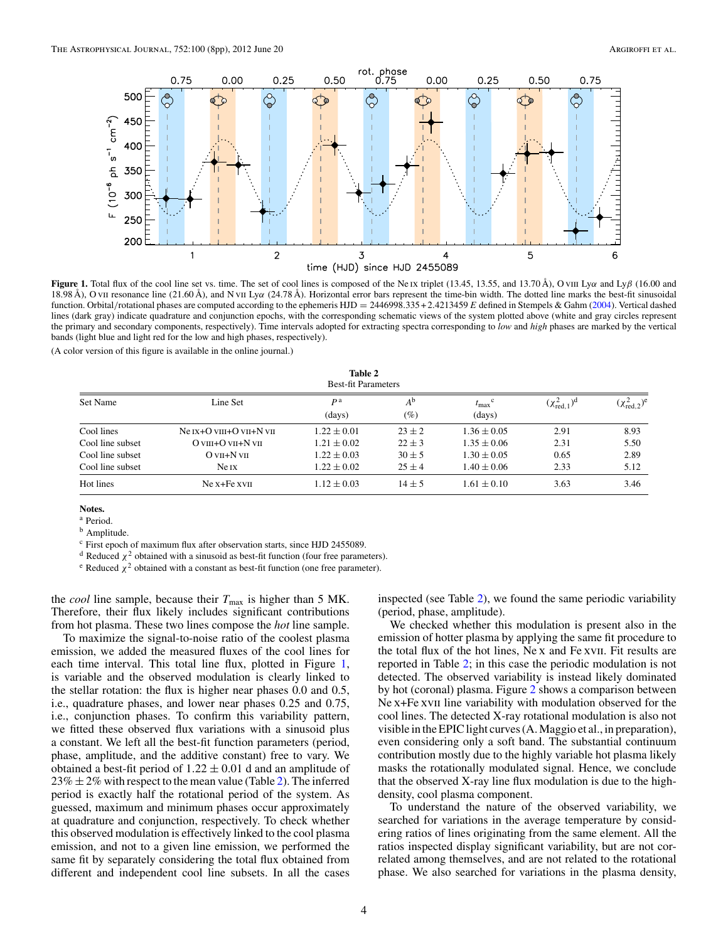<span id="page-3-0"></span>

**Figure 1.** Total flux of the cool line set vs. time. The set of cool lines is composed of the Ne ix triplet (13.45, 13.55, and 13.70 Å), O viii Ly*α* and Ly*β* (16.00 and 18.98 Å), O vii resonance line (21.60 Å), and N vii Ly*α* (24.78 Å). Horizontal error bars represent the time-bin width. The dotted line marks the best-fit sinusoidal function. Orbital*/*rotational phases are computed according to the ephemeris HJD = 2446998*.*335 +2*.*4213459 *E* defined in Stempels & Gahm [\(2004\)](#page-7-0). Vertical dashed lines (dark gray) indicate quadrature and conjunction epochs, with the corresponding schematic views of the system plotted above (white and gray circles represent the primary and secondary components, respectively). Time intervals adopted for extracting spectra corresponding to *low* and *high* phases are marked by the vertical bands (light blue and light red for the low and high phases, respectively).

(A color version of this figure is available in the online journal.)

| Table 2<br><b>Best-fit Parameters</b> |                                                        |                          |                       |                                       |                             |                          |
|---------------------------------------|--------------------------------------------------------|--------------------------|-----------------------|---------------------------------------|-----------------------------|--------------------------|
| Set Name                              | Line Set                                               | P <sup>a</sup><br>(days) | $A^{\rm b}$<br>$(\%)$ | $t_{\text{max}}^{\text{c}}$<br>(days) | $(\chi^2_{\text{red.1}})^d$ | $(\chi^2_{\rm red,2})^e$ |
| Cool lines                            | Ne $tx+O$ v $m+O$ v $m+N$ v $m$                        | $1.22 \pm 0.01$          | $23 \pm 2$            | $1.36 \pm 0.05$                       | 2.91                        | 8.93                     |
| Cool line subset                      | $O \, \text{VIII} + O \, \text{VII} + N \, \text{VII}$ | $1.21 \pm 0.02$          | $22 \pm 3$            | $1.35 \pm 0.06$                       | 2.31                        | 5.50                     |
| Cool line subset                      | $O$ v <sub>II</sub> +N v <sub>II</sub>                 | $1.22 \pm 0.03$          | $30 \pm 5$            | $1.30 \pm 0.05$                       | 0.65                        | 2.89                     |
| Cool line subset                      | Ne IX                                                  | $1.22 \pm 0.02$          | $25 \pm 4$            | $1.40 \pm 0.06$                       | 2.33                        | 5.12                     |
| Hot lines                             | $Ne$ x+ $Fe$ x $VII$                                   | $1.12 \pm 0.03$          | $14 \pm 5$            | $1.61 \pm 0.10$                       | 3.63                        | 3.46                     |

**Notes.**

<sup>a</sup> Period.

**b** Amplitude.

<sup>c</sup> First epoch of maximum flux after observation starts, since HJD 2455089.

<sup>d</sup> Reduced  $\chi^2$  obtained with a sinusoid as best-fit function (four free parameters).

<sup>e</sup> Reduced  $\chi^2$  obtained with a constant as best-fit function (one free parameter).

the *cool* line sample, because their  $T_{\text{max}}$  is higher than 5 MK. Therefore, their flux likely includes significant contributions from hot plasma. These two lines compose the *hot* line sample.

To maximize the signal-to-noise ratio of the coolest plasma emission, we added the measured fluxes of the cool lines for each time interval. This total line flux, plotted in Figure 1, is variable and the observed modulation is clearly linked to the stellar rotation: the flux is higher near phases 0.0 and 0.5, i.e., quadrature phases, and lower near phases 0.25 and 0.75, i.e., conjunction phases. To confirm this variability pattern, we fitted these observed flux variations with a sinusoid plus a constant. We left all the best-fit function parameters (period, phase, amplitude, and the additive constant) free to vary. We obtained a best-fit period of  $1.22 \pm 0.01$  d and an amplitude of  $23\% \pm 2\%$  with respect to the mean value (Table 2). The inferred period is exactly half the rotational period of the system. As guessed, maximum and minimum phases occur approximately at quadrature and conjunction, respectively. To check whether this observed modulation is effectively linked to the cool plasma emission, and not to a given line emission, we performed the same fit by separately considering the total flux obtained from different and independent cool line subsets. In all the cases

inspected (see Table 2), we found the same periodic variability (period, phase, amplitude).

We checked whether this modulation is present also in the emission of hotter plasma by applying the same fit procedure to the total flux of the hot lines, Ne x and Fe xvii. Fit results are reported in Table [2;](#page-4-0) in this case the periodic modulation is not detected. The observed variability is instead likely dominated by hot (coronal) plasma. Figure [2](#page-4-0) shows a comparison between Ne x+Fe xvII line variability with modulation observed for the cool lines. The detected X-ray rotational modulation is also not visible in the EPIC light curves (A. Maggio et al., in preparation), even considering only a soft band. The substantial continuum contribution mostly due to the highly variable hot plasma likely masks the rotationally modulated signal. Hence, we conclude that the observed X-ray line flux modulation is due to the highdensity, cool plasma component.

To understand the nature of the observed variability, we searched for variations in the average temperature by considering ratios of lines originating from the same element. All the ratios inspected display significant variability, but are not correlated among themselves, and are not related to the rotational phase. We also searched for variations in the plasma density,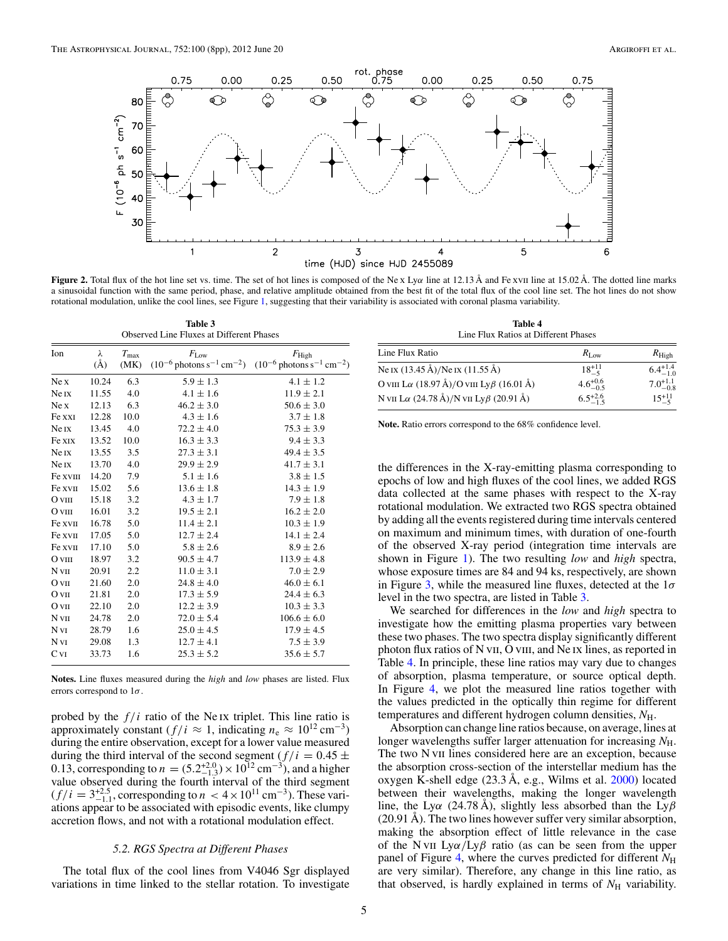<span id="page-4-0"></span>

**Figure 2.** Total flux of the hot line set vs. time. The set of hot lines is composed of the Ne x Ly*α* line at 12.13 Å and Fe xvii line at 15.02 Å. The dotted line marks a sinusoidal function with the same period, phase, and relative amplitude obtained from the best fit of the total flux of the cool line set. The hot lines do not show rotational modulation, unlike the cool lines, see Figure [1,](#page-3-0) suggesting that their variability is associated with coronal plasma variability.

**Table 3** Observed Line Fluxes at Different Phases

| Ion              | λ          | $T_{\rm max}$ | $F_{\text{Low}}$ | $F_{\rm High}$                                                                                        |  |  |
|------------------|------------|---------------|------------------|-------------------------------------------------------------------------------------------------------|--|--|
|                  | $\rm(\AA)$ | (MK)          |                  | $(10^{-6} \text{ photons s}^{-1} \text{ cm}^{-2})$ $(10^{-6} \text{ photons s}^{-1} \text{ cm}^{-2})$ |  |  |
| Ne X             | 10.24      | 6.3           | $5.9 \pm 1.3$    | $4.1 \pm 1.2$                                                                                         |  |  |
| Ne IX            | 11.55      | 4.0           | $4.1 \pm 1.6$    | $11.9 \pm 2.1$                                                                                        |  |  |
| Ne x             | 12.13      | 6.3           | $46.2 \pm 3.0$   | $50.6 \pm 3.0$                                                                                        |  |  |
| Fe xxI           | 12.28      | 10.0          | $4.3 \pm 1.6$    | $3.7 \pm 1.8$                                                                                         |  |  |
| Ne <sub>IX</sub> | 13.45      | 4.0           | $72.2 \pm 4.0$   | $75.3 \pm 3.9$                                                                                        |  |  |
| Fe xix           | 13.52      | 10.0          | $16.3 \pm 3.3$   | $9.4 \pm 3.3$                                                                                         |  |  |
| Ne IX            | 13.55      | 3.5           | $27.3 \pm 3.1$   | $49.4 \pm 3.5$                                                                                        |  |  |
| Ne IX            | 13.70      | 4.0           | $29.9 \pm 2.9$   | $41.7 \pm 3.1$                                                                                        |  |  |
| Fe xvIII         | 14.20      | 7.9           | $5.1 \pm 1.6$    | $3.8 \pm 1.5$                                                                                         |  |  |
| Fe xvII          | 15.02      | 5.6           | $13.6 \pm 1.8$   | $14.3 \pm 1.9$                                                                                        |  |  |
| $O$ VIII         | 15.18      | 3.2           | $4.3 \pm 1.7$    | $7.9 \pm 1.8$                                                                                         |  |  |
| $O$ VIII         | 16.01      | 3.2           | $19.5 \pm 2.1$   | $16.2 \pm 2.0$                                                                                        |  |  |
| Fe xvII          | 16.78      | 5.0           | $11.4 \pm 2.1$   | $10.3 \pm 1.9$                                                                                        |  |  |
| Fe xvII          | 17.05      | 5.0           | $12.7 \pm 2.4$   | $14.1 \pm 2.4$                                                                                        |  |  |
| Fe xvii          | 17.10      | 5.0           | $5.8 \pm 2.6$    | $8.9 \pm 2.6$                                                                                         |  |  |
| $O$ VIII         | 18.97      | 3.2           | $90.5 \pm 4.7$   | $113.9 \pm 4.8$                                                                                       |  |  |
| N vII            | 20.91      | 2.2           | $11.0 \pm 3.1$   | $7.0 \pm 2.9$                                                                                         |  |  |
| O VII            | 21.60      | 2.0           | $24.8 \pm 4.0$   | $46.0 \pm 6.1$                                                                                        |  |  |
| $O$ VII          | 21.81      | 2.0           | $17.3 \pm 5.9$   | $24.4 \pm 6.3$                                                                                        |  |  |
| O VII            | 22.10      | 2.0           | $12.2 \pm 3.9$   | $10.3 \pm 3.3$                                                                                        |  |  |
| N VII            | 24.78      | 2.0           | $72.0 \pm 5.4$   | $106.6 \pm 6.0$                                                                                       |  |  |
| N vi             | 28.79      | 1.6           | $25.0 \pm 4.5$   | $17.9 \pm 4.5$                                                                                        |  |  |
| N vi             | 29.08      | 1.3           | $12.7 \pm 4.1$   | $7.5 \pm 3.9$                                                                                         |  |  |
| C <sub>VI</sub>  | 33.73      | 1.6           | $25.3 \pm 5.2$   | $35.6 \pm 5.7$                                                                                        |  |  |

**Notes.** Line fluxes measured during the *high* and *low* phases are listed. Flux errors correspond to 1*σ*.

probed by the *f/i* ratio of the Ne ix triplet. This line ratio is approximately constant  $(f/i \approx 1$ , indicating  $n_e \approx 10^{12}$  cm<sup>-3</sup>) during the entire observation, except for a lower value measured during the third interval of the second segment ( $f/i = 0.45 \pm$ 0.13, corresponding to  $n = (5.2^{+2.0}_{-1.3}) \times 10^{12}$  cm<sup>-3</sup>), and a higher value observed during the fourth interval of the third segment  $(f/i = 3^{+2.5}_{-1.1}$ , corresponding to  $n < 4 \times 10^{11}$  cm<sup>-3</sup>). These variations appear to be associated with episodic events, like clumpy accretion flows, and not with a rotational modulation effect.

### *5.2. RGS Spectra at Different Phases*

The total flux of the cool lines from V4046 Sgr displayed variations in time linked to the stellar rotation. To investigate

**Table 4** Line Flux Ratios at Different Phases

| Line Flux Ratio                                         | $R_{\text{Low}}$    | $R_{\rm High}$      |
|---------------------------------------------------------|---------------------|---------------------|
| Ne IX $(13.45 \text{ Å})/$ Ne IX $(11.55 \text{ Å})$    | $18^{+11}_{-5}$     | $6.4^{+1.4}_{-1.0}$ |
| O VIII L $\alpha$ (18.97 Å)/O VIII Ly $\beta$ (16.01 Å) | $4.6^{+0.6}_{-0.5}$ | $7.0^{+1.1}_{-0.8}$ |
| N VII L $\alpha$ (24.78 Å)/N VII Ly $\beta$ (20.91 Å)   | $6.5^{+2.6}_{-1.5}$ | $15^{+11}_{-5}$     |

**Note.** Ratio errors correspond to the 68% confidence level.

the differences in the X-ray-emitting plasma corresponding to epochs of low and high fluxes of the cool lines, we added RGS data collected at the same phases with respect to the X-ray rotational modulation. We extracted two RGS spectra obtained by adding all the events registered during time intervals centered on maximum and minimum times, with duration of one-fourth of the observed X-ray period (integration time intervals are shown in Figure [1\)](#page-3-0). The two resulting *low* and *high* spectra, whose exposure times are 84 and 94 ks, respectively, are shown in Figure [3,](#page-5-0) while the measured line fluxes, detected at the 1*σ* level in the two spectra, are listed in Table 3.

We searched for differences in the *low* and *high* spectra to investigate how the emitting plasma properties vary between these two phases. The two spectra display significantly different photon flux ratios of N vII, O vIII, and Ne IX lines, as reported in Table 4. In principle, these line ratios may vary due to changes of absorption, plasma temperature, or source optical depth. In Figure [4,](#page-5-0) we plot the measured line ratios together with the values predicted in the optically thin regime for different temperatures and different hydrogen column densities, *N*H.

Absorption can change line ratios because, on average, lines at longer wavelengths suffer larger attenuation for increasing  $N_{\text{H}}$ . The two N v<sub>II</sub> lines considered here are an exception, because the absorption cross-section of the interstellar medium has the oxygen K-shell edge (23.3 Å, e.g., Wilms et al. [2000\)](#page-7-0) located between their wavelengths, making the longer wavelength line, the Ly*α* (24.78 Å), slightly less absorbed than the Ly*β* (20.91 Å). The two lines however suffer very similar absorption, making the absorption effect of little relevance in the case of the N vii Ly*α/*Ly*β* ratio (as can be seen from the upper panel of Figure [4,](#page-5-0) where the curves predicted for different  $N_{\rm H}$ are very similar). Therefore, any change in this line ratio, as that observed, is hardly explained in terms of  $N_H$  variability.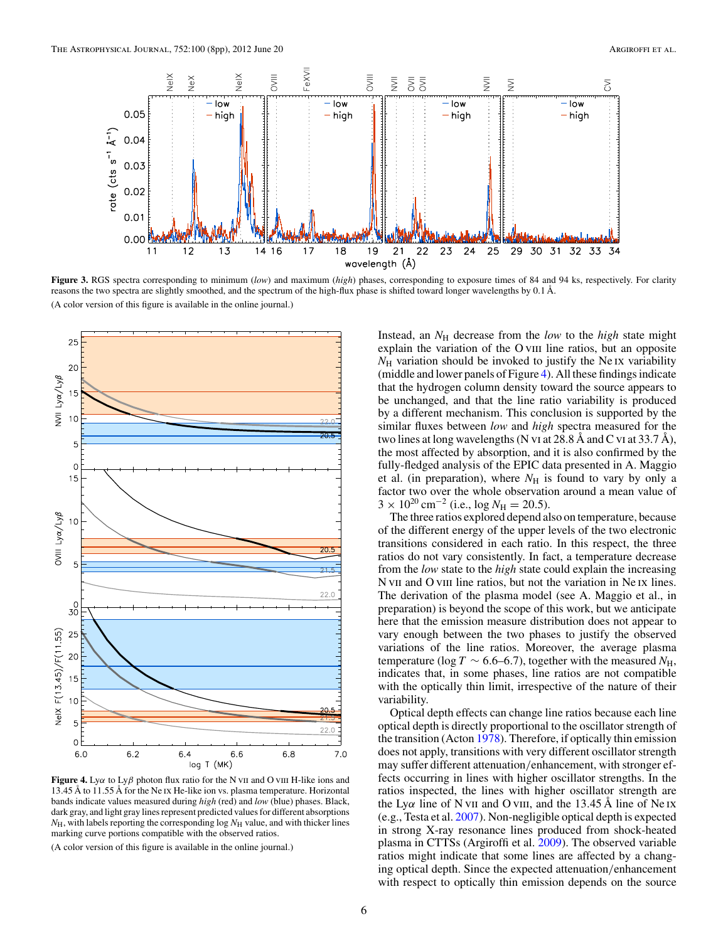<span id="page-5-0"></span>

**Figure 3.** RGS spectra corresponding to minimum (*low*) and maximum (*high*) phases, corresponding to exposure times of 84 and 94 ks, respectively. For clarity reasons the two spectra are slightly smoothed, and the spectrum of the high-flux phase is shifted toward longer wavelengths by 0*.*1 Å. (A color version of this figure is available in the online journal.)



**Figure 4.** Ly*α* to Ly*β* photon flux ratio for the N vii and O viii H-like ions and 13*.*45 Å to 11*.*55 Å for the Ne ix He-like ion vs. plasma temperature. Horizontal bands indicate values measured during *high* (red) and *low* (blue) phases. Black, dark gray, and light gray lines represent predicted values for different absorptions  $N_{\rm H}$ , with labels reporting the corresponding log  $N_{\rm H}$  value, and with thicker lines marking curve portions compatible with the observed ratios.

(A color version of this figure is available in the online journal.)

Instead, an  $N_H$  decrease from the *low* to the *high* state might explain the variation of the O viii line ratios, but an opposite  $N_{\rm H}$  variation should be invoked to justify the Ne IX variability (middle and lower panels of Figure 4). All these findings indicate that the hydrogen column density toward the source appears to be unchanged, and that the line ratio variability is produced by a different mechanism. This conclusion is supported by the similar fluxes between *low* and *high* spectra measured for the two lines at long wavelengths (N vi at 28.8 Å and C vi at 33.7 Å), the most affected by absorption, and it is also confirmed by the fully-fledged analysis of the EPIC data presented in A. Maggio et al. (in preparation), where  $N<sub>H</sub>$  is found to vary by only a factor two over the whole observation around a mean value of  $3 \times 10^{20}$  cm<sup>-2</sup> (i.e., log  $N_{\rm H} = 20.5$ ).

The three ratios explored depend also on temperature, because of the different energy of the upper levels of the two electronic transitions considered in each ratio. In this respect, the three ratios do not vary consistently. In fact, a temperature decrease from the *low* state to the *high* state could explain the increasing N v<sub>II</sub> and O v<sub>III</sub> line ratios, but not the variation in Ne IX lines. The derivation of the plasma model (see A. Maggio et al., in preparation) is beyond the scope of this work, but we anticipate here that the emission measure distribution does not appear to vary enough between the two phases to justify the observed variations of the line ratios. Moreover, the average plasma temperature (log *T* ~ 6.6–6.7), together with the measured  $N_{\text{H}}$ , indicates that, in some phases, line ratios are not compatible with the optically thin limit, irrespective of the nature of their variability.

Optical depth effects can change line ratios because each line optical depth is directly proportional to the oscillator strength of the transition (Acton [1978\)](#page-6-0). Therefore, if optically thin emission does not apply, transitions with very different oscillator strength may suffer different attenuation*/*enhancement, with stronger effects occurring in lines with higher oscillator strengths. In the ratios inspected, the lines with higher oscillator strength are the Ly $\alpha$  line of N v<sub>II</sub> and O v<sub>III</sub>, and the 13.45 Å line of Ne<sub>IX</sub> (e.g., Testa et al. [2007\)](#page-7-0). Non-negligible optical depth is expected in strong X-ray resonance lines produced from shock-heated plasma in CTTSs (Argiroffi et al. [2009\)](#page-6-0). The observed variable ratios might indicate that some lines are affected by a changing optical depth. Since the expected attenuation*/*enhancement with respect to optically thin emission depends on the source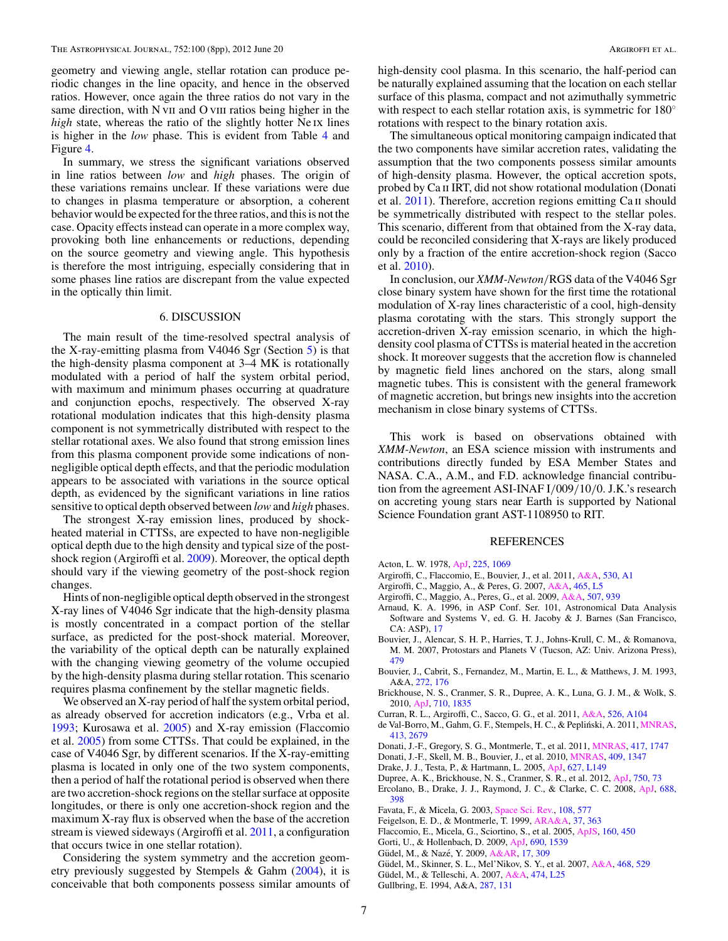<span id="page-6-0"></span>geometry and viewing angle, stellar rotation can produce periodic changes in the line opacity, and hence in the observed ratios. However, once again the three ratios do not vary in the same direction, with N vII and O vIII ratios being higher in the *high* state, whereas the ratio of the slightly hotter Ne ix lines is higher in the *low* phase. This is evident from Table [4](#page-4-0) and Figure [4.](#page-5-0)

In summary, we stress the significant variations observed in line ratios between *low* and *high* phases. The origin of these variations remains unclear. If these variations were due to changes in plasma temperature or absorption, a coherent behavior would be expected for the three ratios, and this is not the case. Opacity effects instead can operate in a more complex way, provoking both line enhancements or reductions, depending on the source geometry and viewing angle. This hypothesis is therefore the most intriguing, especially considering that in some phases line ratios are discrepant from the value expected in the optically thin limit.

### 6. DISCUSSION

The main result of the time-resolved spectral analysis of the X-ray-emitting plasma from V4046 Sgr (Section [5\)](#page-2-0) is that the high-density plasma component at 3–4 MK is rotationally modulated with a period of half the system orbital period, with maximum and minimum phases occurring at quadrature and conjunction epochs, respectively. The observed X-ray rotational modulation indicates that this high-density plasma component is not symmetrically distributed with respect to the stellar rotational axes. We also found that strong emission lines from this plasma component provide some indications of nonnegligible optical depth effects, and that the periodic modulation appears to be associated with variations in the source optical depth, as evidenced by the significant variations in line ratios sensitive to optical depth observed between *low* and *high* phases.

The strongest X-ray emission lines, produced by shockheated material in CTTSs, are expected to have non-negligible optical depth due to the high density and typical size of the postshock region (Argiroffi et al. 2009). Moreover, the optical depth should vary if the viewing geometry of the post-shock region changes.

Hints of non-negligible optical depth observed in the strongest X-ray lines of V4046 Sgr indicate that the high-density plasma is mostly concentrated in a compact portion of the stellar surface, as predicted for the post-shock material. Moreover, the variability of the optical depth can be naturally explained with the changing viewing geometry of the volume occupied by the high-density plasma during stellar rotation. This scenario requires plasma confinement by the stellar magnetic fields.

We observed an X-ray period of half the system orbital period, as already observed for accretion indicators (e.g., Vrba et al. [1993;](#page-7-0) Kurosawa et al. [2005\)](#page-7-0) and X-ray emission (Flaccomio et al. 2005) from some CTTSs. That could be explained, in the case of V4046 Sgr, by different scenarios. If the X-ray-emitting plasma is located in only one of the two system components, then a period of half the rotational period is observed when there are two accretion-shock regions on the stellar surface at opposite longitudes, or there is only one accretion-shock region and the maximum X-ray flux is observed when the base of the accretion stream is viewed sideways (Argiroffi et al. 2011, a configuration that occurs twice in one stellar rotation).

Considering the system symmetry and the accretion geometry previously suggested by Stempels & Gahm [\(2004\)](#page-7-0), it is conceivable that both components possess similar amounts of high-density cool plasma. In this scenario, the half-period can be naturally explained assuming that the location on each stellar surface of this plasma, compact and not azimuthally symmetric with respect to each stellar rotation axis, is symmetric for 180<sup>○</sup> rotations with respect to the binary rotation axis.

The simultaneous optical monitoring campaign indicated that the two components have similar accretion rates, validating the assumption that the two components possess similar amounts of high-density plasma. However, the optical accretion spots, probed by Ca II IRT, did not show rotational modulation (Donati et al. 2011). Therefore, accretion regions emitting Ca ii should be symmetrically distributed with respect to the stellar poles. This scenario, different from that obtained from the X-ray data, could be reconciled considering that X-rays are likely produced only by a fraction of the entire accretion-shock region (Sacco et al. [2010\)](#page-7-0).

In conclusion, our *XMM-Newton/*RGS data of the V4046 Sgr close binary system have shown for the first time the rotational modulation of X-ray lines characteristic of a cool, high-density plasma corotating with the stars. This strongly support the accretion-driven X-ray emission scenario, in which the highdensity cool plasma of CTTSs is material heated in the accretion shock. It moreover suggests that the accretion flow is channeled by magnetic field lines anchored on the stars, along small magnetic tubes. This is consistent with the general framework of magnetic accretion, but brings new insights into the accretion mechanism in close binary systems of CTTSs.

This work is based on observations obtained with *XMM-Newton*, an ESA science mission with instruments and contributions directly funded by ESA Member States and NASA. C.A., A.M., and F.D. acknowledge financial contribution from the agreement ASI-INAF I*/*009*/*10*/*0. J.K.'s research on accreting young stars near Earth is supported by National Science Foundation grant AST-1108950 to RIT.

#### REFERENCES

- Acton, L. W. 1978, [ApJ,](http://dx.doi.org/10.1086/156575) [225, 1069](http://adsabs.harvard.edu/abs/1978ApJ...225.1069A)
- Argiroffi, C., Flaccomio, E., Bouvier, J., et al. 2011, [A&A,](http://dx.doi.org/10.1051/0004-6361/201016321) [530, A1](http://adsabs.harvard.edu/abs/2011A&A...530A...1A)
- Argiroffi, C., Maggio, A., & Peres, G. 2007, [A&A,](http://dx.doi.org/10.1051/0004-6361:20067016) [465, L5](http://adsabs.harvard.edu/abs/2007A&A...465L...5A)
- Argiroffi, C., Maggio, A., Peres, G., et al. 2009, [A&A,](http://dx.doi.org/10.1051/0004-6361/200912792) [507, 939](http://adsabs.harvard.edu/abs/2009A&A...507..939A)
- Arnaud, K. A. 1996, in ASP Conf. Ser. 101, Astronomical Data Analysis Software and Systems V, ed. G. H. Jacoby & J. Barnes (San Francisco, CA: ASP), [17](http://adsabs.harvard.edu/abs/1996ASPC..101...17A)
- Bouvier, J., Alencar, S. H. P., Harries, T. J., Johns-Krull, C. M., & Romanova, M. M. 2007, Protostars and Planets V (Tucson, AZ: Univ. Arizona Press), [479](http://adsabs.harvard.edu/abs/2007prpl.conf..479B)
- Bouvier, J., Cabrit, S., Fernandez, M., Martin, E. L., & Matthews, J. M. 1993, A&A, [272, 176](http://adsabs.harvard.edu/abs/1993A&A...272..176B)
- Brickhouse, N. S., Cranmer, S. R., Dupree, A. K., Luna, G. J. M., & Wolk, S. 2010, [ApJ,](http://dx.doi.org/10.1088/0004-637X/710/2/1835) [710, 1835](http://adsabs.harvard.edu/abs/2010ApJ...710.1835B)
- Curran, R. L., Argiroffi, C., Sacco, G. G., et al. 2011, [A&A,](http://dx.doi.org/10.1051/0004-6361/201015522) [526, A104](http://adsabs.harvard.edu/abs/2011A&A...526A.104C)
- de Val-Borro, M., Gahm, G. F., Stempels, H. C., & Pepliński, A. 2011, *MNRAS*, [413, 2679](http://adsabs.harvard.edu/abs/2011MNRAS.413.2679D)
- Donati, J.-F., Gregory, S. G., Montmerle, T., et al. 2011, [MNRAS,](http://dx.doi.org/10.1111/j.1365-2966.2011.19366.x) [417, 1747](http://adsabs.harvard.edu/abs/2011MNRAS.417.1747D)
- Donati, J.-F., Skell, M. B., Bouvier, J., et al. 2010, [MNRAS,](http://dx.doi.org/10.1111/j.1365-2966.2010.17409.x) [409, 1347](http://adsabs.harvard.edu/abs/2010MNRAS.409.1347D)
- Drake, J. J., Testa, P., & Hartmann, L. 2005, [ApJ,](http://dx.doi.org/10.1086/432468) [627, L149](http://adsabs.harvard.edu/abs/2005ApJ...627L.149D)
- Dupree, A. K., Brickhouse, N. S., Cranmer, S. R., et al. 2012, [ApJ,](http://dx.doi.org/10.1088/0004-637X/750/1/73) [750, 73](http://adsabs.harvard.edu/abs/2012ApJ...750...73D)
- Ercolano, B., Drake, J. J., Raymond, J. C., & Clarke, C. C. 2008, [ApJ,](http://dx.doi.org/10.1086/590490) [688,](http://adsabs.harvard.edu/abs/2008ApJ...688..398E) [398](http://adsabs.harvard.edu/abs/2008ApJ...688..398E)
- Favata, F., & Micela, G. 2003, [Space Sci. Rev.,](http://dx.doi.org/10.1023/B:SPAC.0000007491.80144.21) [108, 577](http://adsabs.harvard.edu/abs/2003SSRv..108..577F)
- Feigelson, E. D., & Montmerle, T. 1999, [ARA&A,](http://dx.doi.org/10.1146/annurev.astro.37.1.363) [37, 363](http://adsabs.harvard.edu/abs/1999ARA&A..37..363F)
- Flaccomio, E., Micela, G., Sciortino, S., et al. 2005, [ApJS,](http://dx.doi.org/10.1086/432419) [160, 450](http://adsabs.harvard.edu/abs/2005ApJS..160..450F)
- Gorti, U., & Hollenbach, D. 2009, [ApJ,](http://dx.doi.org/10.1088/0004-637X/690/2/1539) [690, 1539](http://adsabs.harvard.edu/abs/2009ApJ...690.1539G)
- Güdel, M., & Nazé, Y. 2009, [A&AR,](http://dx.doi.org/10.1007/s00159-009-0022-4) [17, 309](http://adsabs.harvard.edu/abs/2009A&ARv..17..309G)
- Güdel, M., Skinner, S. L., Mel'Nikov, S. Y., et al. 2007, [A&A,](http://dx.doi.org/10.1051/0004-6361:20066318) [468, 529](http://adsabs.harvard.edu/abs/2007A&A...468..529G)
- Güdel, M., & Telleschi, A. 2007, [A&A,](http://dx.doi.org/10.1051/0004-6361:20078143) [474, L25](http://adsabs.harvard.edu/abs/2007A&A...474L..25G)
- Gullbring, E. 1994, A&A, [287, 131](http://adsabs.harvard.edu/abs/1994A&A...287..131G)